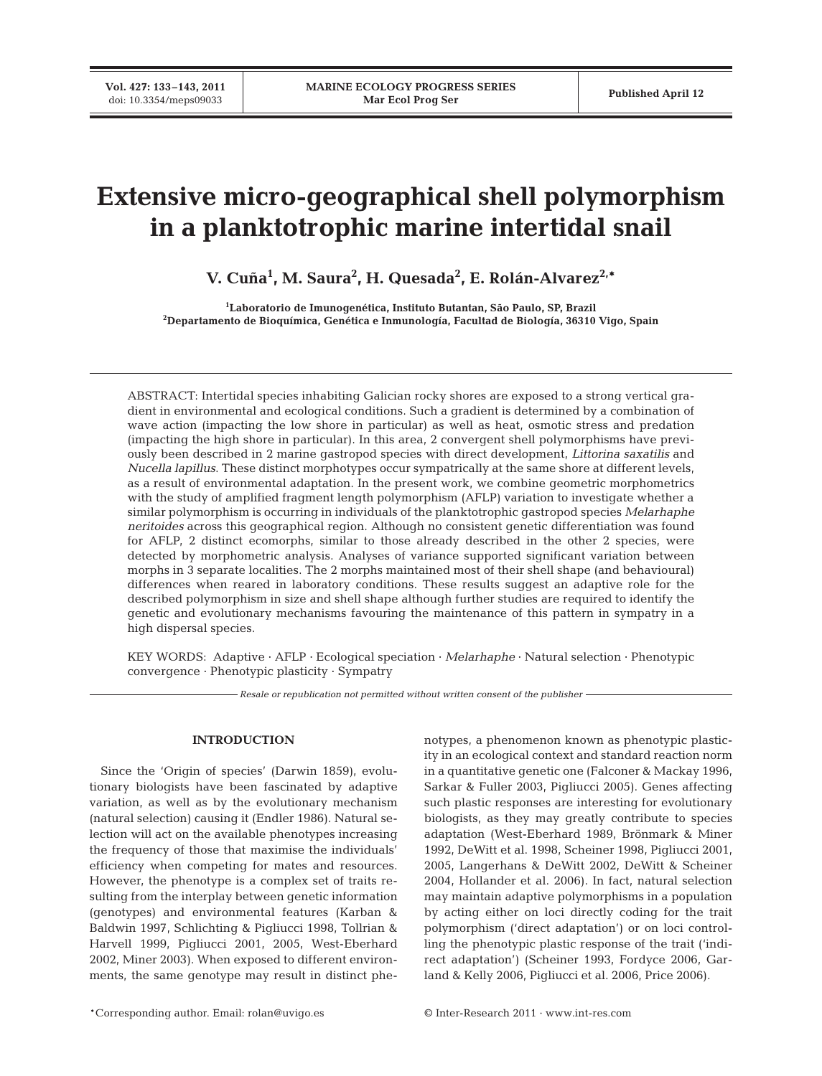# **Extensive micro-geographical shell polymorphism in a planktotrophic marine intertidal snail**

**V. Cuña1 , M. Saura2 , H. Quesada2 , E. Rolán-Alvarez2,\***

**1 Laboratorio de Imunogenética, Instituto Butantan, São Paulo, SP, Brazil 2 Departamento de Bioquímica, Genética e Inmunología, Facultad de Biología, 36310 Vigo, Spain**

ABSTRACT: Intertidal species inhabiting Galician rocky shores are exposed to a strong vertical gradient in environmental and ecological conditions. Such a gradient is determined by a combination of wave action (impacting the low shore in particular) as well as heat, osmotic stress and predation (impacting the high shore in particular). In this area, 2 convergent shell polymorphisms have previously been described in 2 marine gastropod species with direct development, *Littorina saxatilis* and *Nucella lapillus*. These distinct morphotypes occur sympatrically at the same shore at different levels, as a result of environmental adaptation. In the present work, we combine geometric morphometrics with the study of amplified fragment length polymorphism (AFLP) variation to investigate whether a similar polymorphism is occurring in individuals of the planktotrophic gastropod species *Melarhaphe neritoides* across this geographical region. Although no consistent genetic differentiation was found for AFLP, 2 distinct ecomorphs, similar to those already described in the other 2 species, were detected by morphometric analysis. Analyses of variance supported significant variation between morphs in 3 separate localities. The 2 morphs maintained most of their shell shape (and behavioural) differences when reared in laboratory conditions. These results suggest an adaptive role for the described polymorphism in size and shell shape although further studies are required to identify the genetic and evolutionary mechanisms favouring the maintenance of this pattern in sympatry in a high dispersal species.

KEY WORDS: Adaptive · AFLP · Ecological speciation · *Melarhaphe* · Natural selection · Phenotypic convergence · Phenotypic plasticity · Sympatry

*Resale or republication not permitted without written consent of the publisher*

# **INTRODUCTION**

Since the 'Origin of species' (Darwin 1859), evolutionary biologists have been fascinated by adaptive variation, as well as by the evolutionary mechanism (natural selection) causing it (Endler 1986). Natural selection will act on the available phenotypes increasing the frequency of those that maximise the individuals' efficiency when competing for mates and resources. However, the phenotype is a complex set of traits resulting from the interplay between genetic information (genotypes) and environmental features (Karban & Baldwin 1997, Schlichting & Pigliucci 1998, Tollrian & Harvell 1999, Pigliucci 2001, 2005, West-Eberhard 2002, Miner 2003). When exposed to different environments, the same genotype may result in distinct phenotypes, a phenomenon known as phenotypic plasticity in an ecological context and standard reaction norm in a quantitative genetic one (Falconer & Mackay 1996, Sarkar & Fuller 2003, Pigliucci 2005). Genes affecting such plastic responses are interesting for evolutionary biologists, as they may greatly contribute to species adaptation (West-Eberhard 1989, Brönmark & Miner 1992, DeWitt et al. 1998, Scheiner 1998, Pigliucci 2001, 2005, Langerhans & DeWitt 2002, DeWitt & Scheiner 2004, Hollander et al. 2006). In fact, natural selection may maintain adaptive polymorphisms in a population by acting either on loci directly coding for the trait polymorphism ('direct adaptation') or on loci controlling the phenotypic plastic response of the trait ('indirect adaptation') (Scheiner 1993, Fordyce 2006, Garland & Kelly 2006, Pigliucci et al. 2006, Price 2006).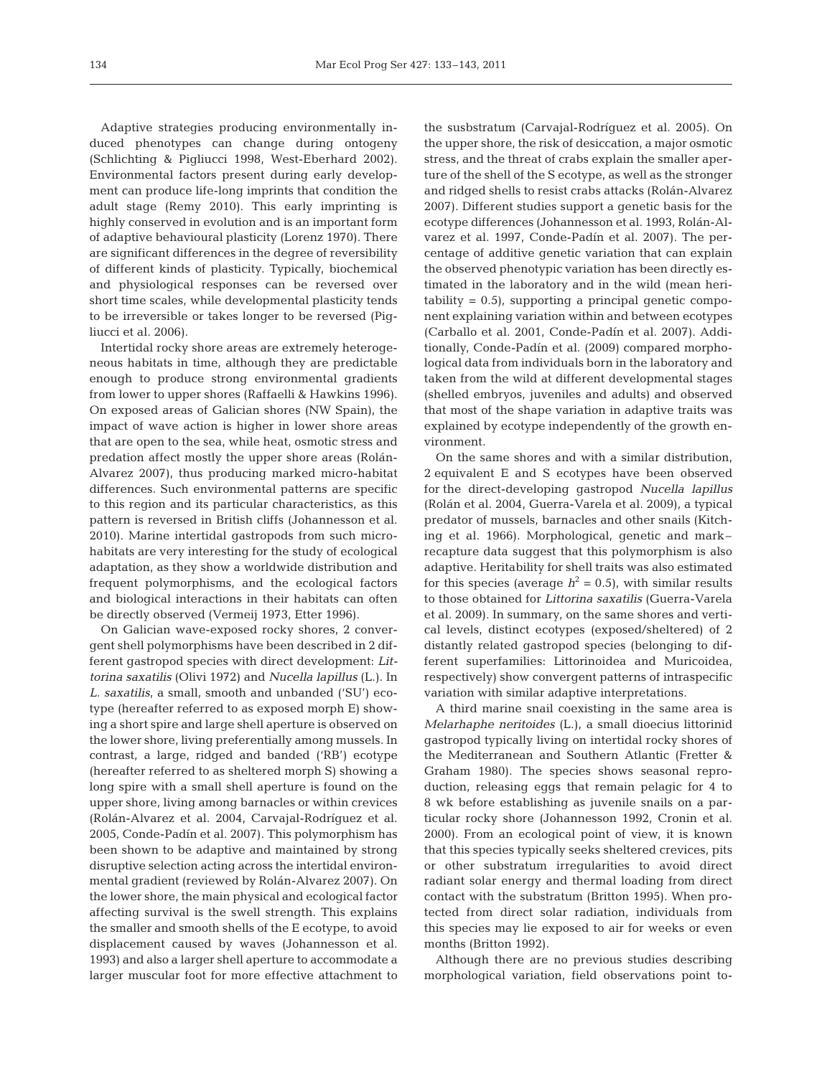Adaptive strategies producing environmentally induced phenotypes can change during ontogeny (Schlichting & Pigliucci 1998, West-Eberhard 2002). Environmental factors present during early development can produce life-long imprints that condition the adult stage (Remy 2010). This early imprinting is highly conserved in evolution and is an important form of adaptive behavioural plasticity (Lorenz 1970). There are significant differences in the degree of reversibility of different kinds of plasticity. Typically, biochemical and physiological responses can be reversed over short time scales, while developmental plasticity tends to be irreversible or takes longer to be reversed (Pigliucci et al. 2006).

Intertidal rocky shore areas are extremely heterogeneous habitats in time, although they are predictable enough to produce strong environmental gradients from lower to upper shores (Raffaelli & Hawkins 1996). On exposed areas of Galician shores (NW Spain), the impact of wave action is higher in lower shore areas that are open to the sea, while heat, osmotic stress and predation affect mostly the upper shore areas (Rolán-Alvarez 2007), thus producing marked micro-habitat differences. Such environmental patterns are specific to this region and its particular characteristics, as this pattern is reversed in British cliffs (Johannesson et al. 2010). Marine intertidal gastropods from such microhabitats are very interesting for the study of ecological adaptation, as they show a worldwide distribution and frequent polymorphisms, and the ecological factors and biological interactions in their habitats can often be directly observed (Vermeij 1973, Etter 1996).

On Galician wave-exposed rocky shores, 2 convergent shell polymorphisms have been described in 2 different gastropod species with direct development: *Littorina saxatilis* (Olivi 1972) and *Nucella lapillus* (L.). In *L. saxatilis*, a small, smooth and unbanded ('SU') ecotype (hereafter referred to as exposed morph E) showing a short spire and large shell aperture is observed on the lower shore, living preferentially among mussels. In contrast, a large, ridged and banded ('RB') ecotype (hereafter referred to as sheltered morph S) showing a long spire with a small shell aperture is found on the upper shore, living among barnacles or within crevices (Rolán-Alvarez et al. 2004, Carvajal-Rodríguez et al. 2005, Conde-Padín et al. 2007). This polymorphism has been shown to be adaptive and maintained by strong disruptive selection acting across the intertidal environmental gradient (reviewed by Rolán-Alvarez 2007). On the lower shore, the main physical and ecological factor affecting survival is the swell strength. This explains the smaller and smooth shells of the E ecotype, to avoid displacement caused by waves (Johannesson et al. 1993) and also a larger shell aperture to accommodate a larger muscular foot for more effective attachment to

the susbstratum (Carvajal-Rodríguez et al. 2005). On the upper shore, the risk of desiccation, a major osmotic stress, and the threat of crabs explain the smaller aperture of the shell of the S ecotype, as well as the stronger and ridged shells to resist crabs attacks (Rolán-Alvarez 2007). Different studies support a genetic basis for the ecotype differences (Johannesson et al. 1993, Rolán-Alvarez et al. 1997, Conde-Padín et al. 2007). The percentage of additive genetic variation that can explain the observed phenotypic variation has been directly estimated in the laboratory and in the wild (mean heri $tability = 0.5$ , supporting a principal genetic component explaining variation within and between ecotypes (Carballo et al. 2001, Conde-Padín et al. 2007). Additionally, Conde-Padín et al. (2009) compared morphological data from individuals born in the laboratory and taken from the wild at different developmental stages (shelled embryos, juveniles and adults) and observed that most of the shape variation in adaptive traits was explained by ecotype independently of the growth environment.

On the same shores and with a similar distribution, 2 equivalent E and S ecotypes have been observed for the direct-developing gastropod *Nucella lapillus* (Rolán et al. 2004, Guerra-Varela et al. 2009), a typical predator of mussels, barnacles and other snails (Kitching et al. 1966). Morphological, genetic and mark– recapture data suggest that this polymorphism is also adaptive. Heritability for shell traits was also estimated for this species (average  $h^2 = 0.5$ ), with similar results to those obtained for *Littorina saxatilis* (Guerra-Varela et al. 2009). In summary, on the same shores and vertical levels, distinct ecotypes (exposed/sheltered) of 2 distantly related gastropod species (belonging to different superfamilies: Littorinoidea and Muricoidea, respectively) show convergent patterns of intraspecific variation with similar adaptive interpretations.

A third marine snail coexisting in the same area is *Melarhaphe neritoides* (L.), a small dioecius littorinid gastropod typically living on intertidal rocky shores of the Mediterranean and Southern Atlantic (Fretter & Graham 1980). The species shows seasonal reproduction, releasing eggs that remain pelagic for 4 to 8 wk before establishing as juvenile snails on a par ticular rocky shore (Johannesson 1992, Cronin et al. 2000). From an ecological point of view, it is known that this species typically seeks sheltered crevices, pits or other substratum irregularities to avoid direct radiant solar energy and thermal loading from direct contact with the substratum (Britton 1995). When protected from direct solar radiation, individuals from this species may lie exposed to air for weeks or even months (Britton 1992).

Although there are no previous studies describing morphological variation, field observations point to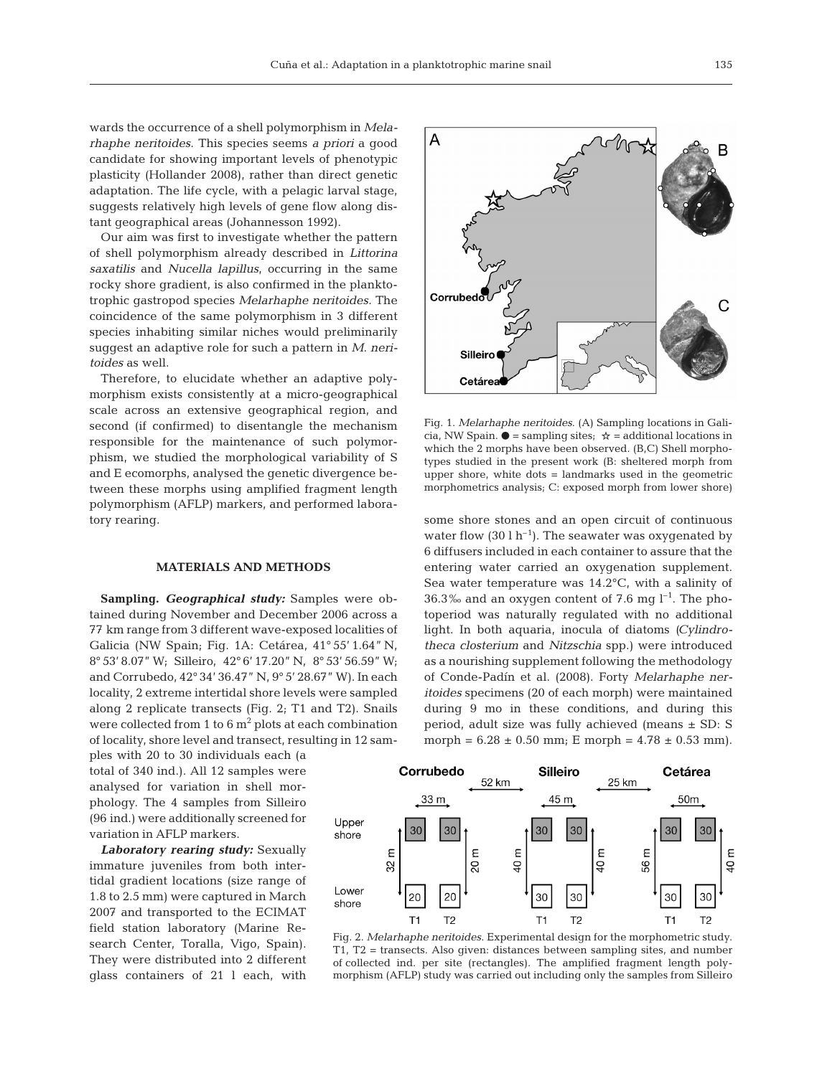wards the occurrence of a shell polymorphism in *Mela rhaphe neritoides*. This species seems *a priori* a good candidate for showing important levels of phenotypic plasticity (Hollander 2008), rather than direct genetic adaptation. The life cycle, with a pelagic larval stage, suggests relatively high levels of gene flow along distant geographical areas (Johannesson 1992).

Our aim was first to investigate whether the pattern of shell polymorphism already described in *Littorina saxatilis* and *Nucella lapillus*, occurring in the same rocky shore gradient, is also confirmed in the planktotrophic gastropod species *Melarhaphe neritoides.* The coincidence of the same polymorphism in 3 different species inhabiting similar niches would preliminarily suggest an adaptive role for such a pattern in *M. neritoides* as well.

Therefore, to elucidate whether an adaptive polymorphism exists consistently at a micro-geographical scale across an extensive geographical region, and second (if confirmed) to disentangle the mechanism responsible for the maintenance of such polymorphism, we studied the morphological variability of S and E ecomorphs, analysed the genetic divergence be tween these morphs using amplified fragment length polymorphism (AFLP) markers, and performed laboratory rearing.

# **MATERIALS AND METHODS**

**Sampling.** *Geographical study:* Samples were ob tained during November and December 2006 across a 77 km range from 3 different wave-exposed localities of Galicia (NW Spain; Fig. 1A: Cetárea, 41° 55' 1.64" N, 8° 53' 8.07" W; Silleiro, 42° 6' 17.20" N, 8° 53' 56.59" W; and Corrubedo, 42° 34' 36.47" N, 9° 5' 28.67" W). In each locality, 2 extreme intertidal shore levels were sampled along 2 replicate transects (Fig. 2; T1 and T2). Snails were collected from 1 to  $6 \text{ m}^2$  plots at each combination of locality, shore level and transect, resulting in 12 sam-

ples with 20 to 30 individuals each (a total of 340 ind.). All 12 samples were analysed for variation in shell morphology. The 4 samples from Silleiro (96 ind.) were additionally screened for variation in AFLP markers.

*Laboratory rearing study:* Sexually immature juveniles from both intertidal gradient locations (size range of 1.8 to 2.5 mm) were captured in March 2007 and transported to the ECIMAT field station laboratory (Marine Re search Center, Toralla, Vigo, Spain). They were distributed into 2 different glass containers of 21 l each, with



Fig. 1. *Melarhaphe neritoides*. (A) Sampling locations in Galicia, NW Spain.  $\bullet$  = sampling sites;  $\star$  = additional locations in which the 2 morphs have been observed. (B,C) Shell morphotypes studied in the present work (B: sheltered morph from upper shore, white dots = landmarks used in the geometric morphometrics analysis; C: exposed morph from lower shore)

some shore stones and an open circuit of continuous water flow  $(30 \, 1 \, h^{-1})$ . The seawater was oxygenated by 6 diffusers included in each container to assure that the entering water carried an oxygenation supplement. Sea water temperature was 14.2°C, with a salinity of 36.3‰ and an oxygen content of 7.6 mg  $l^{-1}$ . The photoperiod was naturally regulated with no additional light. In both aquaria, inocula of diatoms *(Cylindrotheca closterium* and *Nitzschia* spp.) were introduced as a nourishing supplement following the methodology of Conde-Padín et al. (2008). Forty *Melarhaphe neritoides* specimens (20 of each morph) were maintained during 9 mo in these conditions, and during this period, adult size was fully achieved (means ± SD: S morph =  $6.28 \pm 0.50$  mm; E morph =  $4.78 \pm 0.53$  mm).



Fig. 2. *Melarhaphe neritoides*. Experimental design for the morphometric study. T1, T2 = transects. Also given: distances between sampling sites, and number of collected ind. per site (rectangles). The amplified fragment length poly morphism (AFLP) study was carried out including only the samples from Silleiro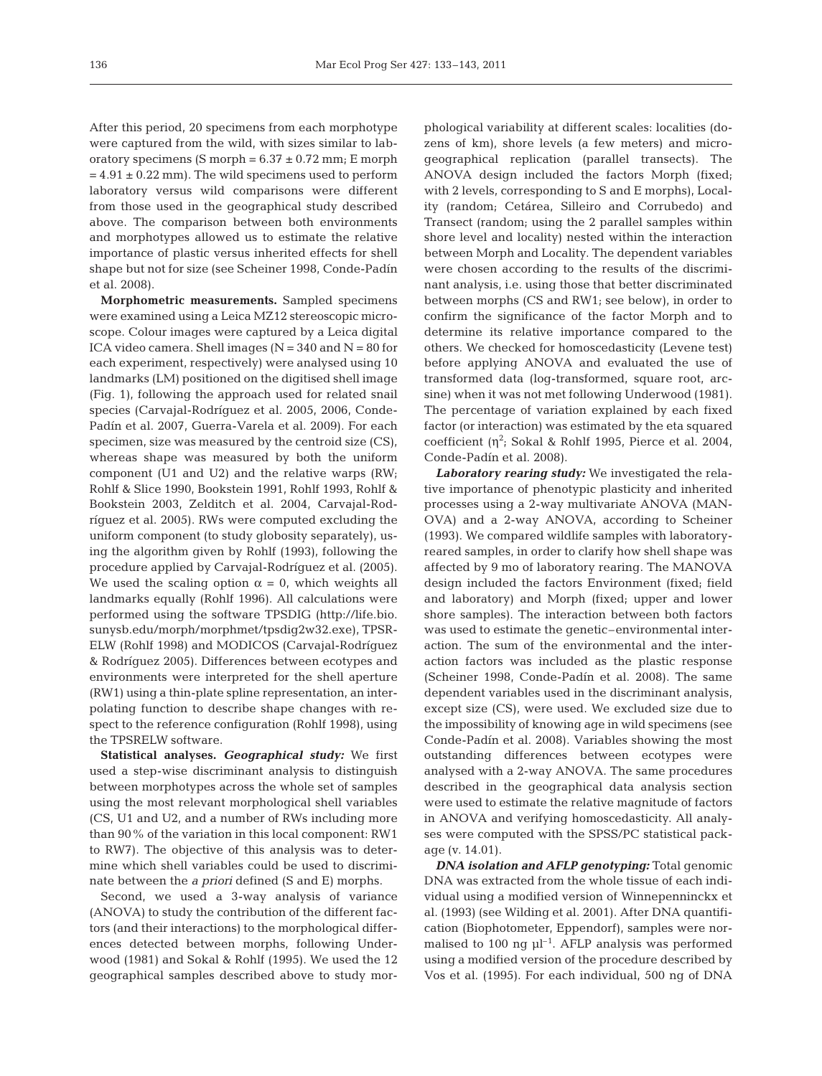After this period, 20 specimens from each morphotype were captured from the wild, with sizes similar to laboratory specimens (S morph =  $6.37 \pm 0.72$  mm; E morph  $= 4.91 \pm 0.22$  mm). The wild specimens used to perform laboratory versus wild comparisons were different from those used in the geographical study described above. The comparison between both environments and morphotypes allowed us to estimate the relative importance of plastic versus inherited effects for shell shape but not for size (see Scheiner 1998, Conde-Padín et al. 2008).

**Morphometric measurements.** Sampled specimens were examined using a Leica MZ12 stereoscopic microscope. Colour images were captured by a Leica digital ICA video camera. Shell images ( $N = 340$  and  $N = 80$  for each experiment, respectively) were analysed using 10 landmarks (LM) positioned on the digitised shell image (Fig. 1), following the approach used for related snail species (Carvajal-Rodríguez et al. 2005, 2006, Conde-Padín et al. 2007, Guerra-Varela et al. 2009). For each specimen, size was measured by the centroid size (CS), whereas shape was measured by both the uniform component (U1 and U2) and the relative warps (RW; Rohlf & Slice 1990, Bookstein 1991, Rohlf 1993, Rohlf & Bookstein 2003, Zelditch et al. 2004, Carvajal-Rodríguez et al. 2005). RWs were computed excluding the uniform component (to study globosity separately), using the algorithm given by Rohlf (1993), following the procedure applied by Carvajal-Rodríguez et al. (2005). We used the scaling option  $\alpha = 0$ , which weights all landmarks equally (Rohlf 1996). All calculations were performed using the software TPSDIG (http://life.bio. sunysb.edu/morph/morphmet/tpsdig2w32.exe), TPSR-ELW (Rohlf 1998) and MODICOS (Carvajal- Rodríguez & Rodríguez 2005). Differences between ecotypes and environments were interpreted for the shell aperture (RW1) using a thin-plate spline representation, an inter polating function to describe shape changes with respect to the reference configuration (Rohlf 1998), using the TPSRELW software.

**Statistical analyses.** *Geographical study:* We first used a step-wise discriminant analysis to distinguish between morphotypes across the whole set of samples using the most relevant morphological shell variables (CS, U1 and U2, and a number of RWs including more than 90% of the variation in this local component: RW1 to RW7). The objective of this analysis was to determine which shell variables could be used to discriminate between the *a priori* defined (S and E) morphs.

Second, we used a 3-way analysis of variance (ANOVA) to study the contribution of the different factors (and their interactions) to the morphological differences detected between morphs, following Underwood (1981) and Sokal & Rohlf (1995). We used the 12 geographical samples described above to study mor -

phological variability at different scales: localities (dozens of km), shore levels (a few meters) and microgeographical replication (parallel transects). The ANOVA design included the factors Morph (fixed; with 2 levels, corresponding to S and E morphs), Locality (random; Cetárea, Silleiro and Corrubedo) and Transect (random; using the 2 parallel samples within shore level and locality) nested within the interaction between Morph and Locality. The dependent variables were chosen according to the results of the discriminant analysis, i.e. using those that better discriminated be tween morphs (CS and RW1; see below), in order to confirm the significance of the factor Morph and to determine its relative importance compared to the others. We checked for homoscedasticity (Levene test) be fore applying ANOVA and evaluated the use of transformed data (log-transformed, square root, arcsine) when it was not met following Underwood (1981). The percentage of variation explained by each fixed factor (or interaction) was estimated by the eta squared coefficient ( $\eta^2$ ; Sokal & Rohlf 1995, Pierce et al. 2004, Conde-Padín et al. 2008).

*Laboratory rearing study:* We investigated the relative importance of phenotypic plasticity and inherited processes using a 2-way multivariate ANOVA (MAN-OVA) and a 2-way ANOVA, according to Scheiner (1993). We compared wildlife samples with laboratoryreared samples, in order to clarify how shell shape was affected by 9 mo of laboratory rearing. The MANOVA design included the factors Environment (fixed; field and laboratory) and Morph (fixed; upper and lower shore samples). The interaction between both factors was used to estimate the genetic–environmental interaction. The sum of the environmental and the interaction factors was included as the plastic response (Scheiner 1998, Conde-Padín et al. 2008). The same dependent variables used in the discriminant analysis, except size (CS), were used. We excluded size due to the impossibility of knowing age in wild specimens (see Conde-Padín et al. 2008). Variables showing the most outstanding differences between ecotypes were analysed with a 2-way ANOVA. The same procedures described in the geographical data analysis section were used to estimate the relative magnitude of factors in ANOVA and verifying homoscedasticity. All analyses were computed with the SPSS/PC statistical package (v. 14.01).

*DNA isolation and AFLP genotyping:* Total genomic DNA was extracted from the whole tissue of each individual using a modified version of Winnepenninckx et al. (1993) (see Wilding et al. 2001). After DNA quantification (Biophotometer, Eppendorf), samples were normalised to 100 ng  $\mu$ <sup>-1</sup>. AFLP analysis was performed using a modified version of the procedure described by Vos et al. (1995). For each individual, 500 ng of DNA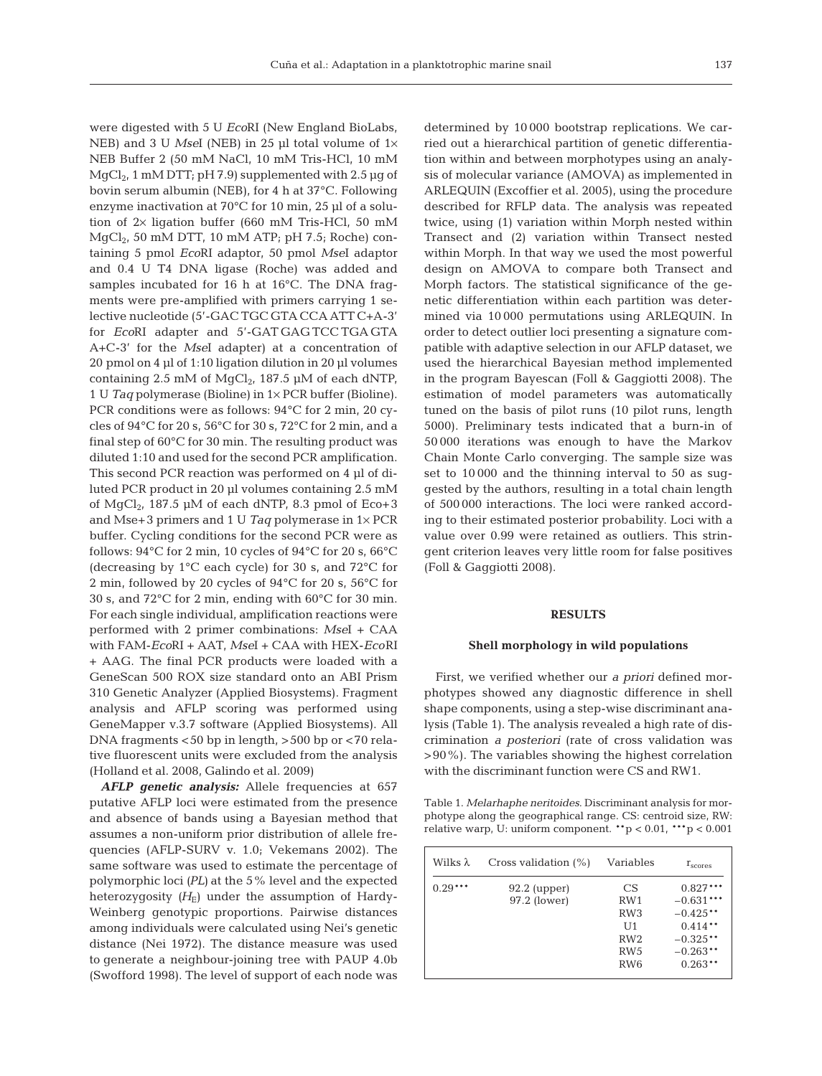were digested with 5 U *Eco*RI (New England BioLabs, NEB) and 3 U *Msel* (NEB) in 25 µl total volume of  $1\times$ NEB Buffer 2 (50 mM NaCl, 10 mM Tris-HCl, 10 mM  $MgCl<sub>2</sub>$ , 1 mM DTT; pH 7.9) supplemented with 2.5 µg of bovin serum albumin (NEB), for 4 h at 37°C. Following enzyme inactivation at 70°C for 10 min, 25 µl of a solution of 2× ligation buffer (660 mM Tris-HCl, 50 mM  $MgCl<sub>2</sub>$ , 50 mM DTT, 10 mM ATP; pH 7.5; Roche) containing 5 pmol *Eco*RI adaptor, 50 pmol *Mse*I adaptor and 0.4 U T4 DNA ligase (Roche) was added and samples incubated for 16 h at 16°C. The DNA fragments were pre-amplified with primers carrying 1 selective nucleotide (5'-GAC TGC GTA CCA ATT C+A-3' for *Eco*RI adapter and 5'-GAT GAG TCC TGA GTA A+C-3' for the *Mse*I adapter) at a concentration of 20 pmol on 4 µl of 1:10 ligation dilution in 20 µl volumes containing 2.5 mM of  $MgCl<sub>2</sub>$ , 187.5 µM of each dNTP, 1 U *Taq* polymerase (Bioline) in 1× PCR buffer (Bioline). PCR conditions were as follows: 94°C for 2 min, 20 cycles of 94°C for 20 s, 56°C for 30 s, 72°C for 2 min, and a final step of 60°C for 30 min. The resulting product was diluted 1:10 and used for the second PCR amplification. This second PCR reaction was performed on 4 µl of diluted PCR product in 20 µl volumes containing 2.5 mM of  $MgCl<sub>2</sub>$ , 187.5 µM of each dNTP, 8.3 pmol of Eco+3 and Mse+3 primers and 1 U *Taq* polymerase in 1× PCR buffer. Cycling conditions for the second PCR were as follows:  $94^{\circ}$ C for 2 min, 10 cycles of  $94^{\circ}$ C for 20 s, 66 $^{\circ}$ C (decreasing by  $1^{\circ}$ C each cycle) for 30 s, and 72 $^{\circ}$ C for 2 min, followed by 20 cycles of 94°C for 20 s, 56°C for 30 s, and 72°C for 2 min, ending with 60°C for 30 min. For each single individual, amplification reactions were performed with 2 primer combinations: *Mse*I + CAA with FAM-*Eco*RI + AAT, *Mse*I + CAA with HEX-*Eco*RI + AAG. The final PCR products were loaded with a GeneScan 500 ROX size standard onto an ABI Prism 310 Genetic Analyzer (Applied Biosystems). Fragment analysis and AFLP scoring was performed using GeneMapper v.3.7 software (Applied Biosystems). All DNA fragments <50 bp in length, >500 bp or <70 relative fluorescent units were excluded from the analysis (Holland et al. 2008, Galindo et al. 2009)

AFLP genetic analysis: Allele frequencies at 657 putative AFLP loci were estimated from the presence and absence of bands using a Bayesian method that assumes a non-uniform prior distribution of allele frequencies (AFLP-SURV v. 1.0; Vekemans 2002). The same software was used to estimate the percentage of polymorphic loci *(PL)* at the 5% level and the expected heterozygosity  $(H_E)$  under the assumption of Hardy-Weinberg genotypic proportions. Pairwise distances among individuals were calculated using Nei's genetic distance (Nei 1972). The distance measure was used to generate a neighbour-joining tree with PAUP 4.0b (Swofford 1998). The level of support of each node was

determined by 10 000 bootstrap replications. We carried out a hierarchical partition of genetic differentiation within and between morphotypes using an analysis of molecular variance (AMOVA) as implemented in ARLEQUIN (Excoffier et al. 2005), using the procedure described for RFLP data. The analysis was repeated twice, using (1) variation within Morph nested within Transect and (2) variation within Transect nested within Morph. In that way we used the most powerful design on AMOVA to compare both Transect and Morph factors. The statistical significance of the genetic differentiation within each partition was determined via 10 000 permutations using ARLEQUIN. In order to detect outlier loci presenting a signature compatible with adaptive selection in our AFLP dataset, we used the hierarchical Bayesian method implemented in the program Bayescan (Foll & Gaggiotti 2008). The estimation of model parameters was automatically tuned on the basis of pilot runs (10 pilot runs, length 5000). Preliminary tests indicated that a burn-in of 50 000 iterations was enough to have the Markov Chain Monte Carlo converging. The sample size was set to 10 000 and the thinning interval to 50 as suggested by the authors, resulting in a total chain length of 500 000 interactions. The loci were ranked according to their estimated posterior probability. Loci with a value over 0.99 were retained as outliers. This stringent criterion leaves very little room for false positives (Foll & Gaggiotti 2008).

## **RESULTS**

#### **Shell morphology in wild populations**

First, we verified whether our *a priori* defined morphotypes showed any diagnostic difference in shell shape components, using a step-wise discriminant ana lysis (Table 1). The analysis revealed a high rate of discrimination *a posteriori* (rate of cross validation was >90%). The variables showing the highest correlation with the discriminant function were CS and RW1.

Table 1. *Melarhaphe neritoides*. Discriminant analysis for morphotype along the geographical range. CS: centroid size, RW: relative warp, U: uniform component.  $*$ <sub>p</sub> < 0.01,  $*$  $*$ <sub>p</sub> < 0.001

| Wilks $\lambda$ | Cross validation $(\%)$        | Variables                                             | $r_{\rm scores}$                                                   |
|-----------------|--------------------------------|-------------------------------------------------------|--------------------------------------------------------------------|
| $0.29***$       | $92.2$ (upper)<br>97.2 (lower) | CS<br>RW1<br>RW <sub>3</sub><br>U1<br>RW <sub>2</sub> | $0.827***$<br>$-0.631***$<br>$-0.425**$<br>$0.414**$<br>$-0.325**$ |
|                 |                                | RW <sub>5</sub><br>RW <sub>6</sub>                    | $-0.263**$<br>$0.263**$                                            |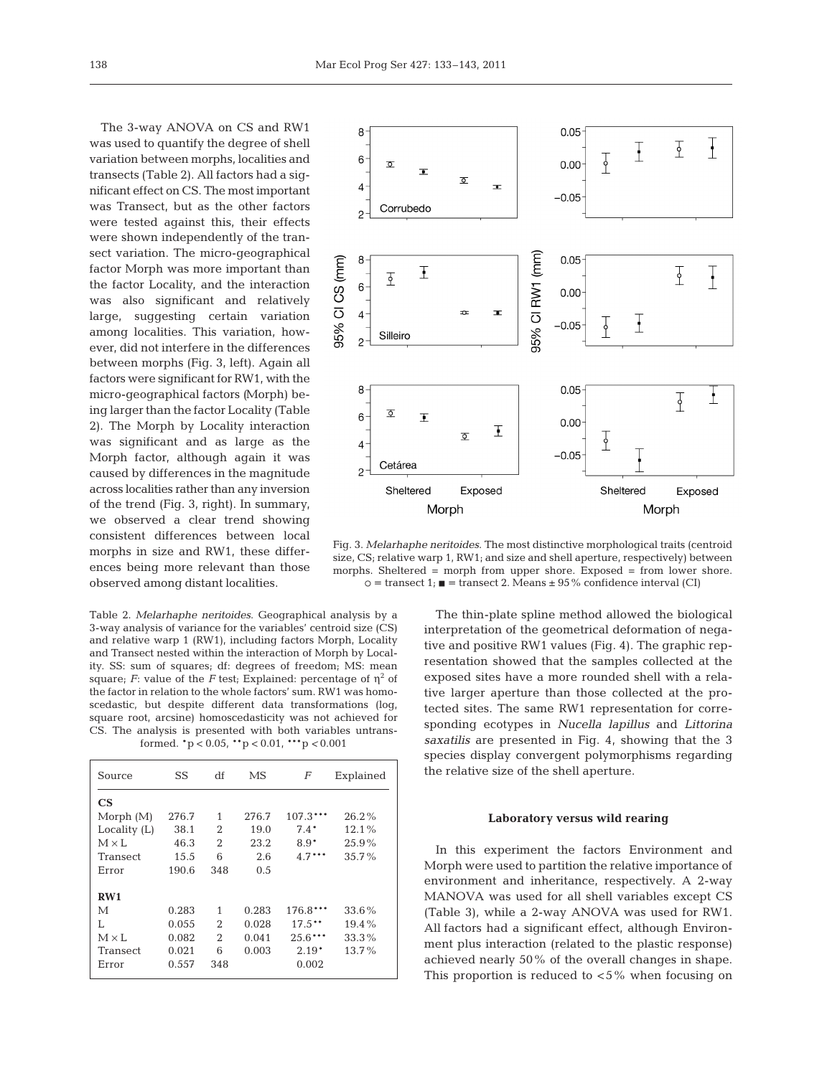The 3-way ANOVA on CS and RW1 was used to quantify the degree of shell variation between morphs, localities and transects (Table 2). All factors had a significant effect on CS. The most important was Transect, but as the other factors were tested against this, their effects were shown independently of the transect variation. The micro-geographical factor Morph was more important than the factor Locality, and the interaction was also significant and relatively large, suggesting certain variation among localities. This variation, however, did not interfere in the differences between morphs (Fig. 3, left). Again all factors were significant for RW1, with the micro-geographical factors *(*Morph) being larger than the factor Locality (Table 2). The Morph by Locality interaction was significant and as large as the Morph factor, although again it was caused by differences in the magnitude across localities rather than any inversion of the trend (Fig. 3, right). In summary, we observed a clear trend showing consistent differences between local morphs in size and RW1, these differences being more relevant than those observed among distant localities.

Table 2. *Melarhaphe neritoides*. Geographical analysis by a 3-way analysis of variance for the variables' centroid size (CS) and relative warp 1 (RW1), including factors Morph, Locality and Transect nested within the interaction of Morph by Locality. SS: sum of squares; df: degrees of freedom; MS: mean square; *F*: value of the *F* test; Explained: percentage of  $\eta^2$  of the factor in relation to the whole factors' sum. RW1 was homoscedastic, but despite different data transformations (log, square root, arcsine) homoscedasticity was not achieved for CS. The analysis is presented with both variables untransformed. \*p < 0.05, \*\*p < 0.01, \*\*\*p *<* 0.001

| Source         | SS    | df             | МS    | $\overline{F}$ | Explained |
|----------------|-------|----------------|-------|----------------|-----------|
| CS             |       |                |       |                |           |
| Morph $(M)$    | 276.7 | 1              | 276.7 | $107.3***$     | $26.2\%$  |
| Locality $(L)$ | 38.1  | 2              | 19.0  | $7.4*$         | 12.1%     |
| $M \times I$ . | 46.3  | $\overline{2}$ | 23.2  | $8.9*$         | 25.9%     |
| Transect       | 15.5  | 6              | 2.6   | $4.7***$       | $35.7\%$  |
| Error          | 190.6 | 348            | 0.5   |                |           |
| RW1            |       |                |       |                |           |
| М              | 0.283 | 1              | 0.283 | 176.8***       | 33.6%     |
| L              | 0.055 | 2              | 0.028 | $17.5**$       | $19.4\%$  |
| $M \times I$ . | 0.082 | $\overline{2}$ | 0.041 | $25.6***$      | 33.3%     |
| Transect       | 0.021 | 6              | 0.003 | $2.19*$        | $13.7\%$  |
| Error          | 0.557 | 348            |       | 0.002          |           |



Fig. 3. *Melarhaphe neritoides*. The most distinctive morphological traits (centroid size, CS; relative warp 1, RW1; and size and shell aperture, respectively) between morphs. Sheltered = morph from upper shore. Exposed = from lower shore.  $\circ$  = transect 1;  $\blacksquare$  = transect 2. Means  $\pm$  95% confidence interval (CI)

The thin-plate spline method allowed the biological interpretation of the geometrical deformation of negative and positive RW1 values (Fig. 4). The graphic representation showed that the samples collected at the exposed sites have a more rounded shell with a relative larger aperture than those collected at the protected sites. The same RW1 representation for corresponding ecotypes in *Nucella lapillus* and *Littorina saxatilis* are presented in Fig. 4, showing that the 3 species display convergent polymorphisms regarding the relative size of the shell aperture.

## **Laboratory versus wild rearing**

In this experiment the factors Environment and Morph were used to partition the relative importance of environment and inheritance, respectively. A 2-way MANOVA was used for all shell variables except CS (Table 3), while a 2-way ANOVA was used for RW1. All factors had a significant effect, although Environment plus interaction (related to the plastic response) achieved nearly 50% of the overall changes in shape. This proportion is reduced to  $< 5\%$  when focusing on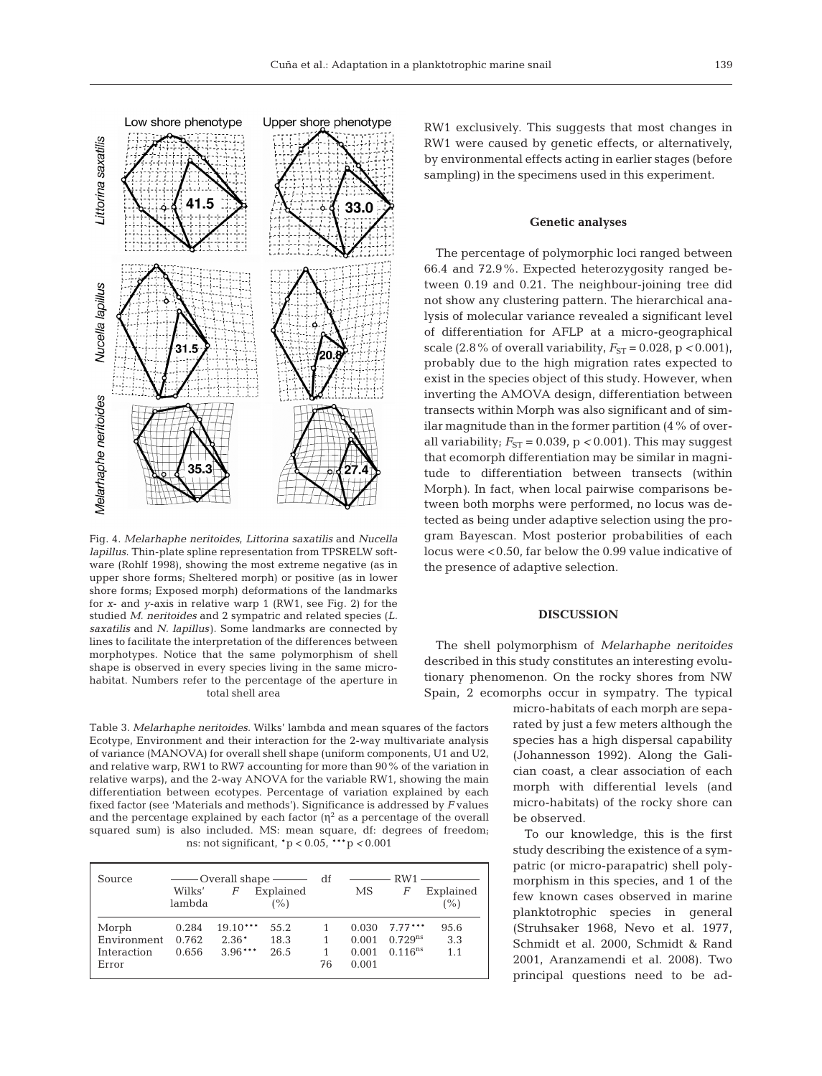

Fig. 4. *Melarhaphe neritoides*, *Littorina saxatilis* and *Nucella lapillus*. Thin-plate spline representation from TPSRELW software (Rohlf 1998), showing the most extreme negative (as in upper shore forms; Sheltered morph) or positive (as in lower shore forms; Exposed morph) deformations of the landmarks for *x*- and *y*-axis in relative warp 1 (RW1, see Fig. 2) for the studied *M. neritoides* and 2 sympatric and related species (*L. saxatilis* and *N. lapillus)*. Some landmarks are connected by lines to facilitate the interpretation of the differences between morphotypes. Notice that the same polymorphism of shell shape is observed in every species living in the same microhabitat. Numbers refer to the percentage of the aperture in total shell area

Table 3. *Melarhaphe neritoides*. Wilks' lambda and mean squares of the factors Ecotype, Environment and their interaction for the 2-way multivariate analysis of variance (MANOVA) for overall shell shape (uniform components, U1 and U2, and relative warp, RW1 to RW7 accounting for more than 90% of the variation in relative warps), and the 2-way ANOVA for the variable RW1, showing the main differentiation between ecotypes. Percentage of variation explained by each fixed factor (see 'Materials and methods'). Significance is addressed by *F* values and the percentage explained by each factor  $(\eta^2)$  as a percentage of the overall squared sum) is also included. MS: mean square, df: degrees of freedom; ns: not significant, \*p < 0.05, \*\*\*p *<* 0.001

| Source      | Wilks'<br>lambda | F          | ——— Overall shape ————<br>Explained<br>(%) | df | МS    | $\frac{1}{1}$ RW1 $\frac{1}{1}$<br>F | Explained<br>(%) |
|-------------|------------------|------------|--------------------------------------------|----|-------|--------------------------------------|------------------|
| Morph       | 0.284            | $19.10***$ | 55.2                                       |    |       | $0.030$ 7.77***                      | 95.6             |
| Environment | 0.762            | $2.36*$    | 18.3                                       |    | 0.001 | $0.729^{ns}$                         | 3.3              |
| Interaction | 0.656            | $3.96***$  | 26.5                                       |    | 0.001 | $0.116^{ns}$                         | 1.1              |
| Error       |                  |            |                                            | 76 | 0.001 |                                      |                  |

RW1 exclusively. This suggests that most changes in RW1 were caused by genetic effects, or alternatively, by environmental effects acting in earlier stages (before sampling) in the specimens used in this experiment.

## **Genetic analyses**

The percentage of polymorphic loci ranged between 66.4 and 72.9%. Expected heterozygosity ranged between 0.19 and 0.21. The neighbour-joining tree did not show any clustering pattern. The hierarchical ana lysis of molecular variance revealed a significant level of differentiation for AFLP at a micro-geographical scale (2.8% of overall variability,  $F_{ST} = 0.028$ , p < 0.001), probably due to the high migration rates expected to exist in the species object of this study. However, when inverting the AMOVA design, differentiation between transects within Morph was also significant and of similar magnitude than in the former partition (4% of overall variability;  $F_{ST} = 0.039$ ,  $p < 0.001$ ). This may suggest that ecomorph differentiation may be similar in magnitude to differentiation between transects (within Morph*)*. In fact, when local pairwise comparisons between both morphs were performed, no locus was detected as being under adaptive selection using the program Bayescan. Most posterior probabilities of each locus were <0.50, far below the 0.99 value indicative of the presence of adaptive selection.

# **DISCUSSION**

The shell polymorphism of *Melarhaphe neritoides* described in this study constitutes an interesting evolutionary phenomenon. On the rocky shores from NW Spain, 2 ecomorphs occur in sympatry. The typical

> micro-habitats of each morph are separated by just a few meters although the species has a high dispersal capability (Johannesson 1992). Along the Galician coast, a clear association of each morph with differential levels (and micro-habitats) of the rocky shore can be observed.

> To our knowledge, this is the first study describing the existence of a sym patric (or micro-parapatric) shell polymorphism in this species, and 1 of the few known cases observed in marine planktotrophic species in general (Struhs aker 1968, Nevo et al. 1977, Schmidt et al. 2000, Schmidt & Rand 2001, Aranzamendi et al. 2008). Two principal questions need to be ad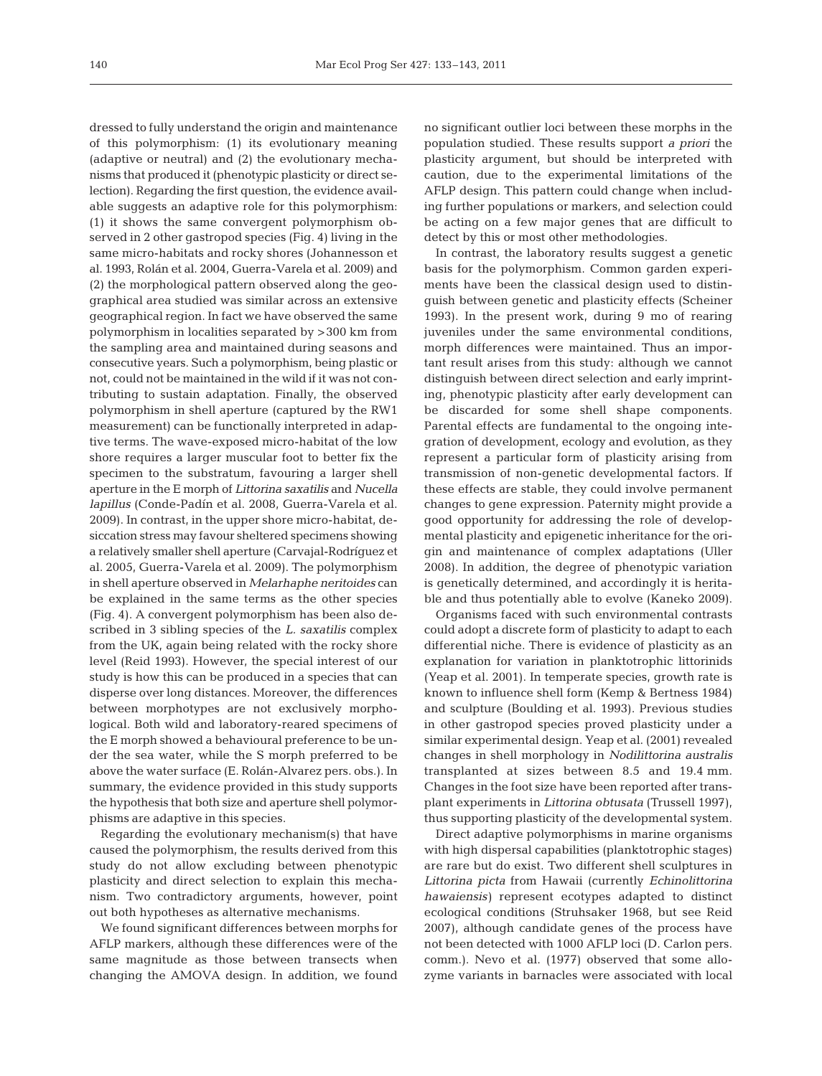dressed to fully understand the origin and maintenance of this polymorphism: (1) its evolutionary meaning (adaptive or neutral) and (2) the evolutionary mechanisms that produced it (phenotypic plasticity or direct selection). Regarding the first question, the evidence available suggests an adaptive role for this polymorphism: (1) it shows the same convergent polymorphism observed in 2 other gastropod species (Fig. 4) living in the same micro-habitats and rocky shores (Johannesson et al. 1993, Rolán et al. 2004, Guerra-Varela et al. 2009) and (2) the morphological pattern observed along the geographical area studied was similar across an extensive geographical region. In fact we have observed the same polymorphism in localities separated by >300 km from the sampling area and maintained during seasons and consecutive years. Such a polymorphism, being plastic or not, could not be maintained in the wild if it was not contributing to sustain adaptation. Finally, the observed polymorphism in shell aperture (captured by the RW1 measurement) can be functionally interpreted in adaptive terms. The wave-exposed micro-habitat of the low shore requires a larger muscular foot to better fix the specimen to the substratum, favouring a larger shell aperture in the E morph of *Littorina saxatilis* and *Nucella lapillus* (Conde-Padín et al. 2008, Guerra-Varela et al. 2009). In contrast, in the upper shore micro-habitat, de siccation stress may favour sheltered specimens showing a relatively smaller shell aperture (Carvajal-Rodríguez et al. 2005, Guerra-Varela et al. 2009). The polymorphism in shell aperture observed in *Melarhaphe neritoides* can be ex plained in the same terms as the other species (Fig. 4). A convergent polymorphism has been also de scribed in 3 sibling species of the *L. saxatilis* complex from the UK, again being related with the rocky shore level (Reid 1993). However, the special interest of our study is how this can be produced in a species that can disperse over long distances. Moreover, the differences between morphotypes are not exclusively morphological. Both wild and laboratory-reared specimens of the E morph showed a behavioural preference to be under the sea water, while the S morph preferred to be above the water surface (E. Rolán-Alvarez pers. obs.). In summary, the evidence provided in this study supports the hypothesis that both size and aperture shell polymorphisms are adaptive in this species.

Regarding the evolutionary mechanism(s) that have caused the polymorphism, the results derived from this study do not allow excluding between phenotypic plasticity and direct selection to explain this mechanism. Two contradictory arguments, however, point out both hypotheses as alternative mechanisms.

We found significant differences between morphs for AFLP markers, although these differences were of the same magnitude as those between transects when changing the AMOVA design. In addition, we found

no significant outlier loci between these morphs in the population studied. These results support *a priori* the plasticity argument, but should be interpreted with caution, due to the experimental limitations of the AFLP design. This pattern could change when including further populations or markers, and selection could be acting on a few major genes that are difficult to detect by this or most other methodologies.

In contrast, the laboratory results suggest a genetic basis for the polymorphism. Common garden experiments have been the classical design used to distinguish between genetic and plasticity effects (Scheiner 1993). In the present work, during 9 mo of rearing juveniles under the same environmental conditions, morph differences were maintained. Thus an important result arises from this study: although we cannot distinguish between direct selection and early imprinting, phenotypic plasticity after early development can be discarded for some shell shape components. Parental effects are fundamental to the ongoing integration of development, ecology and evolution, as they represent a particular form of plasticity arising from transmission of non-genetic developmental factors. If these effects are stable, they could involve permanent changes to gene expression. Paternity might provide a good opportunity for addressing the role of developmental plasticity and epigenetic inheritance for the origin and maintenance of complex adaptations (Uller 2008). In addition, the degree of phenotypic variation is genetically determined, and accordingly it is heritable and thus potentially able to evolve (Kaneko 2009).

Organisms faced with such environmental contrasts could adopt a discrete form of plasticity to adapt to each differential niche. There is evidence of plasticity as an explanation for variation in planktotrophic littorinids (Yeap et al. 2001). In temperate species, growth rate is known to influence shell form (Kemp & Bertness 1984) and sculpture (Boulding et al. 1993). Previous studies in other gastropod species proved plasticity under a similar experimental design. Yeap et al. (2001) revealed changes in shell morphology in *Nodilittorina australis* transplanted at sizes between 8.5 and 19.4 mm. Changes in the foot size have been reported after transplant experiments in *Littorina obtusata* (Trussell 1997), thus supporting plasticity of the developmental system.

Direct adaptive polymorphisms in marine organisms with high dispersal capabilities (planktotrophic stages) are rare but do exist. Two different shell sculptures in *Littorina picta* from Hawaii (currently *Echinolittorina hawaiensis)* represent ecotypes adapted to distinct ecological conditions (Struhsaker 1968, but see Reid 2007), although candidate genes of the process have not been detected with 1000 AFLP loci (D. Carlon pers. comm.). Nevo et al. (1977) observed that some allozyme variants in barnacles were associated with local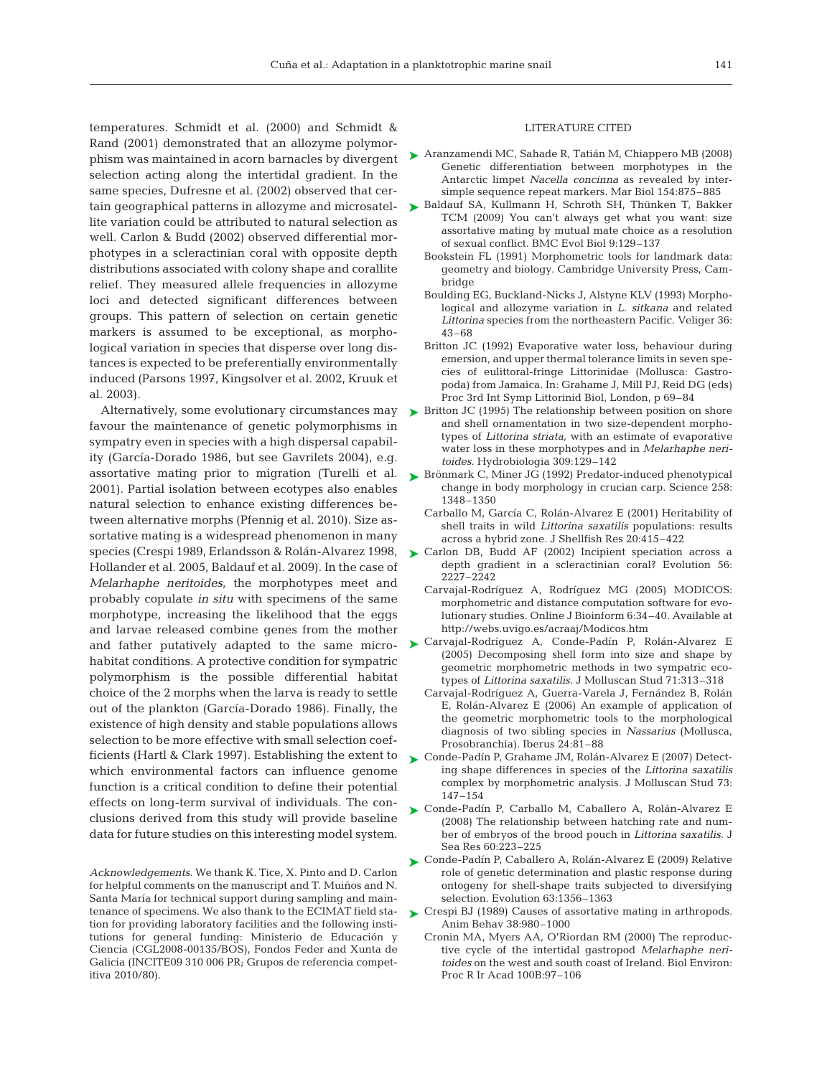temperatures. Schmidt et al. (2000) and Schmidt & Rand (2001) demonstrated that an allozyme polymorphism was maintained in acorn barnacles by divergent selection acting along the intertidal gradient. In the same species, Dufresne et al. (2002) observed that certain geographical patterns in allozyme and microsatellite variation could be attributed to natural selection as well. Carlon & Budd (2002) observed differential morphotypes in a scleractinian coral with opposite depth distributions associated with colony shape and corallite relief. They measured allele frequencies in allozyme loci and detected significant differences between groups. This pattern of selection on certain genetic markers is assumed to be exceptional, as morphological variation in species that disperse over long distances is expected to be preferentially environmentally induced (Parsons 1997, Kingsolver et al. 2002, Kruuk et al. 2003).

Alternatively, some evolutionary circumstances may favour the maintenance of genetic polymorphisms in sympatry even in species with a high dispersal capability (García-Dorado 1986, but see Gavrilets 2004), e.g. assortative mating prior to migration (Turelli et al. 2001). Partial isolation between ecotypes also enables natural selection to enhance existing differences be tween alternative morphs (Pfennig et al. 2010). Size assortative mating is a widespread phenomenon in many species (Crespi 1989, Erlandsson & Rolán-Alvarez 1998, Hollander et al. 2005, Baldauf et al. 2009). In the case of *Melarhaphe neritoides*, the morphotypes meet and probably copulate *in situ* with specimens of the same morphotype, increasing the likelihood that the eggs and larvae released combine genes from the mother and father putatively adapted to the same microhabitat conditions. A protective condition for sympatric polymorphism is the possible differential habitat choice of the 2 morphs when the larva is ready to settle out of the plankton (García-Dorado 1986). Finally, the existence of high density and stable populations allows selection to be more effective with small selection coefficients (Hartl & Clark 1997). Establishing the extent to which environmental factors can influence genome function is a critical condition to define their potential effects on long-term survival of individuals. The conclusions derived from this study will provide baseline data for future studies on this interesting model system.

*Acknowledgements*. We thank K. Tice, X. Pinto and D. Carlon for helpful comments on the manuscript and T. Muiños and N. Santa María for technical support during sampling and maintenance of specimens. We also thank to the ECIMAT field station for providing laboratory facilities and the following institutions for general funding: Ministerio de Educación y Ciencia (CGL2008-00135/BOS), Fondos Feder and Xunta de Galicia (INCITE09 310 006 PR; Grupos de referencia competitiva 2010/80).

### LITERATURE CITED

- ► Aranzamendi MC, Sahade R, Tatián M, Chiappero MB (2008) Genetic differentiation between morphotypes in the Antarctic limpet *Nacella concinna* as revealed by intersimple sequence repeat markers. Mar Biol 154:875–885
- ► Baldauf SA, Kullmann H, Schroth SH, Thünken T, Bakker TCM (2009) You can't always get what you want: size assortative mating by mutual mate choice as a resolution of sexual conflict. BMC Evol Biol 9:129–137
	- Bookstein FL (1991) Morphometric tools for landmark data: geometry and biology. Cambridge University Press, Cambridge
	- Boulding EG, Buckland-Nicks J, Alstyne KLV (1993) Morphological and allozyme variation in *L. sitkana* and related *Littorina* species from the northeastern Pacific. Veliger 36: 43–68
	- Britton JC (1992) Evaporative water loss, behaviour during emersion, and upper thermal tolerance limits in seven species of eulittoral-fringe Littorinidae (Mollusca: Gastropoda) from Jamaica. In: Grahame J, Mill PJ, Reid DG (eds) Proc 3rd Int Symp Littorinid Biol, London, p 69–84
- ► Britton JC (1995) The relationship between position on shore and shell ornamentation in two size-dependent morphotypes of *Littorina striata*, with an estimate of evaporative water loss in these morphotypes and in *Melarhaphe neritoides.* Hydrobiologia 309:129–142
- ► Brönmark C, Miner JG (1992) Predator-induced phenotypical change in body morphology in crucian carp. Science 258: 1348–1350
	- Carballo M, García C, Rolán-Alvarez E (2001) Heritability of shell traits in wild *Littorina saxatilis* populations: results across a hybrid zone. J Shellfish Res 20:415–422
- ► Carlon DB, Budd AF (2002) Incipient speciation across a depth gradient in a scleractinian coral? Evolution 56: 2227–2242
	- Carvajal-Rodríguez A, Rodríguez MG (2005) MODICOS: morphometric and distance computation software for evolutionary studies. Online J Bioinform 6:34–40. Available at http://webs.uvigo.es/acraaj/Modicos.htm
- Carvajal-Rodríguez A, Conde-Padín P, Rolán-Alvarez E ➤ (2005) Decomposing shell form into size and shape by geometric morphometric methods in two sympatric ecotypes of *Littorina saxatilis.* J Molluscan Stud 71:313–318
	- Carvajal-Rodríguez A, Guerra-Varela J, Fernández B, Rolán E, Rolán-Alvarez E (2006) An example of application of the geometric morphometric tools to the morphological diagnosis of two sibling species in *Nassarius* (Mollusca, Prosobranchia). Iberus 24:81–88
- Conde-Padín P, Grahame JM, Rolán-Alvarez E (2007) Detect-➤ ing shape differences in species of the *Littorina saxatilis* complex by morphometric analysis. J Molluscan Stud 73: 147–154
- Conde-Padín P, Carballo M, Caballero A, Rolán-Alvarez E ➤ (2008) The relationship between hatching rate and number of embryos of the brood pouch in *Littorina saxatilis.* J Sea Res 60:223–225
- Conde-Padín P, Caballero A, Rolán-Alvarez E (2009) Relative ➤ role of genetic determination and plastic response during ontogeny for shell-shape traits subjected to diversifying selection. Evolution 63:1356–1363
- ► Crespi BJ (1989) Causes of assortative mating in arthropods. Anim Behav 38:980–1000
	- Cronin MA, Myers AA, O'Riordan RM (2000) The reproductive cycle of the intertidal gastropod *Melarhaphe neritoides* on the west and south coast of Ireland. Biol Environ: Proc R Ir Acad 100B:97–106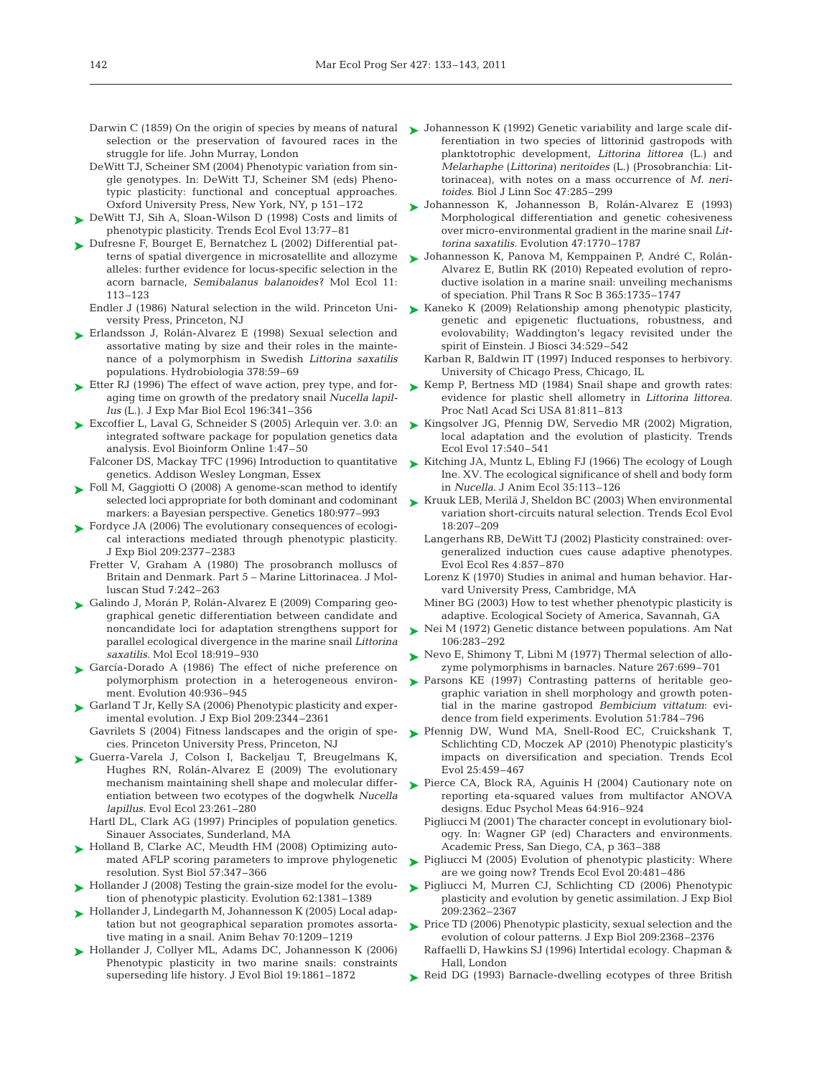- selection or the preservation of favoured races in the struggle for life. John Murray, London
- DeWitt TJ, Scheiner SM (2004) Phenotypic variation from single genotypes. In: DeWitt TJ, Scheiner SM (eds) Phenotypic plasticity: functional and conceptual approaches. Oxford University Press, New York, NY, p 151–172
- ► DeWitt TJ, Sih A, Sloan-Wilson D (1998) Costs and limits of phenotypic plasticity. Trends Ecol Evol 13:77–81
- ► Dufresne F, Bourget E, Bernatchez L (2002) Differential patterns of spatial divergence in microsatellite and allozyme alleles: further evidence for locus-specific selection in the acorn barnacle, *Semibalanus balanoides*? Mol Ecol 11: 113–123
	- Endler J (1986) Natural selection in the wild. Princeton University Press, Princeton, NJ
- ► Erlandsson J, Rolán-Alvarez E (1998) Sexual selection and assortative mating by size and their roles in the maintenance of a polymorphism in Swedish *Littorina saxatilis* populations. Hydrobiologia 378:59–69
- ► Etter RJ (1996) The effect of wave action, prey type, and foraging time on growth of the predatory snail *Nucella lapillus* (L.). J Exp Mar Biol Ecol 196:341–356
- Excoffier L, Laval G, Schneider S (2005) Arlequin ver. 3.0: an ➤ integrated software package for population genetics data analysis. Evol Bioinform Online 1:47–50
	- Falconer DS, Mackay TFC (1996) Introduction to quantitative genetics. Addison Wesley Longman, Essex
- ► Foll M, Gaggiotti O (2008) A genome-scan method to identify selected loci appropriate for both dominant and codominant markers: a Bayesian perspective. Genetics 180:977-993
- ► Fordyce JA (2006) The evolutionary consequences of ecological interactions mediated through phenotypic plasticity. J Exp Biol 209:2377–2383
	- Fretter V, Graham A (1980) The prosobranch molluscs of Britain and Denmark. Part 5 – Marine Littorinacea. J Molluscan Stud 7:242–263
- ► Galindo J, Morán P, Rolán-Alvarez E (2009) Comparing geographical genetic differentiation between candidate and noncandidate loci for adaptation strengthens support for parallel ecological divergence in the marine snail *Littorina saxatilis*. Mol Ecol 18:919–930
- ► García-Dorado A (1986) The effect of niche preference on polymorphism protection in a heterogeneous environment. Evolution 40:936–945
- ► Garland T Jr, Kelly SA (2006) Phenotypic plasticity and experimental evolution. J Exp Biol 209:2344–2361 Gavrilets S (2004) Fitness landscapes and the origin of spe-
- cies. Princeton University Press, Princeton, NJ
- ▶ Guerra-Varela J, Colson I, Backeljau T, Breugelmans K, Hughes RN, Rolán-Alvarez E (2009) The evolutionary mechanism maintaining shell shape and molecular differentiation between two ecotypes of the dogwhelk *Nucella lapillus*. Evol Ecol 23:261–280
	- Hartl DL, Clark AG (1997) Principles of population genetics. Sinauer Associates, Sunderland, MA
- ► Holland B, Clarke AC, Meudth HM (2008) Optimizing automated AFLP scoring parameters to improve phylogenetic resolution. Syst Biol 57:347–366
- ► Hollander J (2008) Testing the grain-size model for the evolution of phenotypic plasticity. Evolution 62:1381–1389
- ► Hollander J, Lindegarth M, Johannesson K (2005) Local adaptation but not geographical separation promotes assortative mating in a snail. Anim Behav 70:1209–1219
- ► Hollander J, Collyer ML, Adams DC, Johannesson K (2006) Phenotypic plasticity in two marine snails: constraints superseding life history. J Evol Biol 19:1861–1872
- Darwin C (1859) On the origin of species by means of natural  $\blacktriangleright$  Johannesson K (1992) Genetic variability and large scale differentiation in two species of littorinid gastropods with planktotrophic development, *Littorina littorea* (L.) and *Melarhaphe* (*Littorina) neritoides* (L.) (Prosobranchia: Littorinacea), with notes on a mass occurrence of *M. neritoides*. Biol J Linn Soc 47:285–299
	- Johannesson K, Johannesson B, Rolán-Alvarez E (1993) ➤ Morphological differentiation and genetic cohesiveness over micro-environmental gradient in the marine snail *Littorina saxatilis*. Evolution 47:1770–1787
	- ► Johannesson K, Panova M, Kemppainen P, André C, Rolán-Alvarez E, Butlin RK (2010) Repeated evolution of reproductive isolation in a marine snail: unveiling mechanisms of speciation. Phil Trans R Soc B 365:1735–1747
	- Kaneko K (2009) Relationship among phenotypic plasticity, genetic and epigenetic fluctuations, robustness, and evolovability; Waddington's legacy revisited under the spirit of Einstein. J Biosci 34:529–542 ➤
		- Karban R, Baldwin IT (1997) Induced responses to herbivory. University of Chicago Press, Chicago, IL
	- ► Kemp P, Bertness MD (1984) Snail shape and growth rates: evidence for plastic shell allometry in *Littorina littorea.* Proc Natl Acad Sci USA 81:811–813
	- ► Kingsolver JG, Pfennig DW, Servedio MR (2002) Migration, local adaptation and the evolution of plasticity. Trends Ecol Evol 17:540–541
	- ► Kitching JA, Muntz L, Ebling FJ (1966) The ecology of Lough Ine. XV. The ecological significance of shell and body form in *Nucella*. J Anim Ecol 35:113–126
	- ► Kruuk LEB, Merilä J, Sheldon BC (2003) When environmental variation short-circuits natural selection. Trends Ecol Evol 18: 207–209
		- Langerhans RB, DeWitt TJ (2002) Plasticity constrained: overgeneralized induction cues cause adaptive phenotypes. Evol Ecol Res 4:857–870
		- Lorenz K (1970) Studies in animal and human behavior. Harvard University Press, Cambridge, MA
		- Miner BG (2003) How to test whether phenotypic plasticity is adaptive. Ecological Society of America, Savannah, GA
	- ► Nei M (1972) Genetic distance between populations. Am Nat 106: 283–292
	- ► Nevo E, Shimony T, Libni M (1977) Thermal selection of allozyme polymorphisms in barnacles. Nature 267:699-701
	- ▶ Parsons KE (1997) Contrasting patterns of heritable geographic variation in shell morphology and growth potential in the marine gastropod *Bembicium vittatum*: evidence from field experiments. Evolution 51:784–796
	- Pfennig DW, Wund MA, Snell-Rood EC, Cruickshank T, ➤ Schlichting CD, Moczek AP (2010) Phenotypic plasticity's impacts on diversification and speciation. Trends Ecol Evol 25:459–467
	- ▶ Pierce CA, Block RA, Aguinis H (2004) Cautionary note on reporting eta-squared values from multifactor ANOVA designs. Educ Psychol Meas 64:916–924
		- Pigliucci M (2001) The character concept in evolutionary biology. In: Wagner GP (ed) Characters and environments. Academic Press, San Diego, CA, p 363–388
	- ▶ Pigliucci M (2005) Evolution of phenotypic plasticity: Where are we going now? Trends Ecol Evol 20:481–486
	- ▶ Pigliucci M, Murren CJ, Schlichting CD (2006) Phenotypic plasticity and evolution by genetic assimilation. J Exp Biol 209: 2362–2367
	- ▶ Price TD (2006) Phenotypic plasticity, sexual selection and the evolution of colour patterns. J Exp Biol 209:2368–2376
	- Raffaelli D, Hawkins SJ (1996) Intertidal ecology. Chapman & Hall, London
	- ► Reid DG (1993) Barnacle-dwelling ecotypes of three British